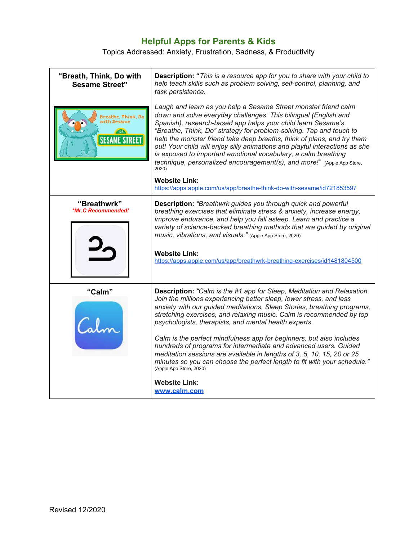## **Helpful Apps for Parents & Kids**

Topics Addressed: Anxiety, Frustration, Sadness, & Productivity

| "Breath, Think, Do with<br><b>Sesame Street"</b>                   | Description: "This is a resource app for you to share with your child to<br>help teach skills such as problem solving, self-control, planning, and<br>task persistence.                                                                                                                                                                                                                                                                                                                                                                                                                                                                                                                                                               |
|--------------------------------------------------------------------|---------------------------------------------------------------------------------------------------------------------------------------------------------------------------------------------------------------------------------------------------------------------------------------------------------------------------------------------------------------------------------------------------------------------------------------------------------------------------------------------------------------------------------------------------------------------------------------------------------------------------------------------------------------------------------------------------------------------------------------|
| Breathe, Think, Do<br>with Sesame<br>(123)<br><b>SESAME STREET</b> | Laugh and learn as you help a Sesame Street monster friend calm<br>down and solve everyday challenges. This bilingual (English and<br>Spanish), research-based app helps your child learn Sesame's<br>"Breathe, Think, Do" strategy for problem-solving. Tap and touch to<br>help the monster friend take deep breaths, think of plans, and try them<br>out! Your child will enjoy silly animations and playful interactions as she<br>is exposed to important emotional vocabulary, a calm breathing<br>technique, personalized encouragement(s), and more!" (Apple App Store,<br>2020)<br><b>Website Link:</b>                                                                                                                      |
|                                                                    | https://apps.apple.com/us/app/breathe-think-do-with-sesame/id721853597                                                                                                                                                                                                                                                                                                                                                                                                                                                                                                                                                                                                                                                                |
| "Breathwrk"<br>*Mr.C Recommended!                                  | <b>Description:</b> "Breathwrk guides you through quick and powerful<br>breathing exercises that eliminate stress & anxiety, increase energy,<br>improve endurance, and help you fall asleep. Learn and practice a<br>variety of science-backed breathing methods that are guided by original<br>music, vibrations, and visuals." (Apple App Store, 2020)<br><b>Website Link:</b><br>https://apps.apple.com/us/app/breathwrk-breathing-exercises/id1481804500                                                                                                                                                                                                                                                                         |
| "Calm"<br>atv                                                      | <b>Description:</b> "Calm is the #1 app for Sleep, Meditation and Relaxation.<br>Join the millions experiencing better sleep, lower stress, and less<br>anxiety with our guided meditations, Sleep Stories, breathing programs,<br>stretching exercises, and relaxing music. Calm is recommended by top<br>psychologists, therapists, and mental health experts.<br>Calm is the perfect mindfulness app for beginners, but also includes<br>hundreds of programs for intermediate and advanced users. Guided<br>meditation sessions are available in lengths of 3, 5, 10, 15, 20 or 25<br>minutes so you can choose the perfect length to fit with your schedule."<br>(Apple App Store, 2020)<br><b>Website Link:</b><br>www.calm.com |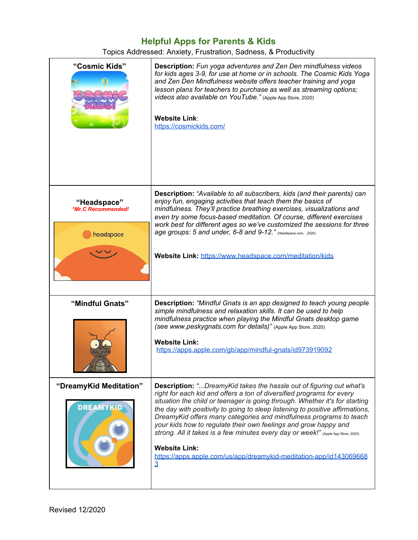## **Helpful Apps for Parents & Kids**

Topics Addressed: Anxiety, Frustration, Sadness, & Productivity